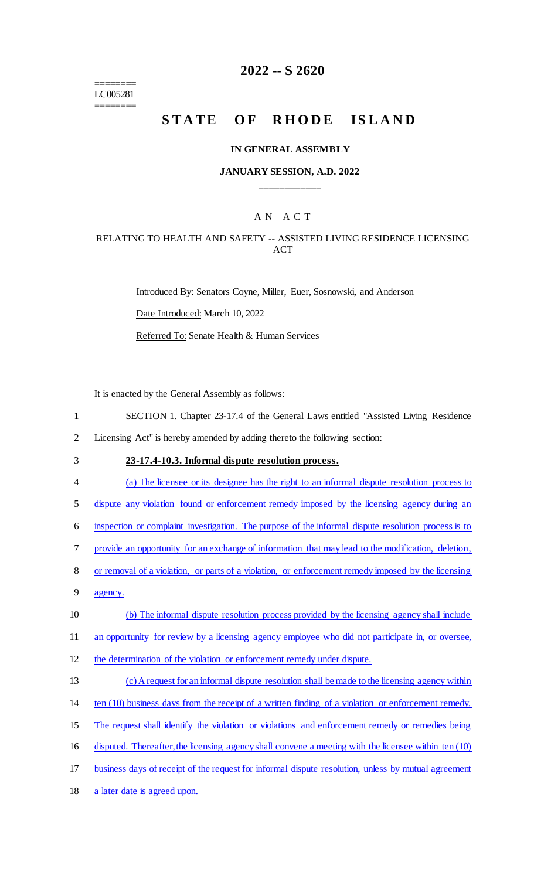======== LC005281 ========

## **2022 -- S 2620**

# STATE OF RHODE ISLAND

#### **IN GENERAL ASSEMBLY**

### **JANUARY SESSION, A.D. 2022 \_\_\_\_\_\_\_\_\_\_\_\_**

## A N A C T

## RELATING TO HEALTH AND SAFETY -- ASSISTED LIVING RESIDENCE LICENSING **ACT**

Introduced By: Senators Coyne, Miller, Euer, Sosnowski, and Anderson Date Introduced: March 10, 2022 Referred To: Senate Health & Human Services

It is enacted by the General Assembly as follows:

1 SECTION 1. Chapter 23-17.4 of the General Laws entitled "Assisted Living Residence

2 Licensing Act" is hereby amended by adding thereto the following section:

## 3 **23-17.4-10.3. Informal dispute resolution process.**

4 (a) The licensee or its designee has the right to an informal dispute resolution process to

5 dispute any violation found or enforcement remedy imposed by the licensing agency during an

6 inspection or complaint investigation. The purpose of the informal dispute resolution process is to

7 provide an opportunity for an exchange of information that may lead to the modification, deletion,

- 8 or removal of a violation, or parts of a violation, or enforcement remedy imposed by the licensing
- 9 agency.
- 10 (b) The informal dispute resolution process provided by the licensing agency shall include

11 an opportunity for review by a licensing agency employee who did not participate in, or oversee,

- 12 the determination of the violation or enforcement remedy under dispute.
- 13 (c) A request for an informal dispute resolution shall be made to the licensing agency within
- 14 ten (10) business days from the receipt of a written finding of a violation or enforcement remedy.
- 15 The request shall identify the violation or violations and enforcement remedy or remedies being
- 16 disputed. Thereafter, the licensing agency shall convene a meeting with the licensee within ten (10)
- 17 business days of receipt of the request for informal dispute resolution, unless by mutual agreement
- 18 a later date is agreed upon.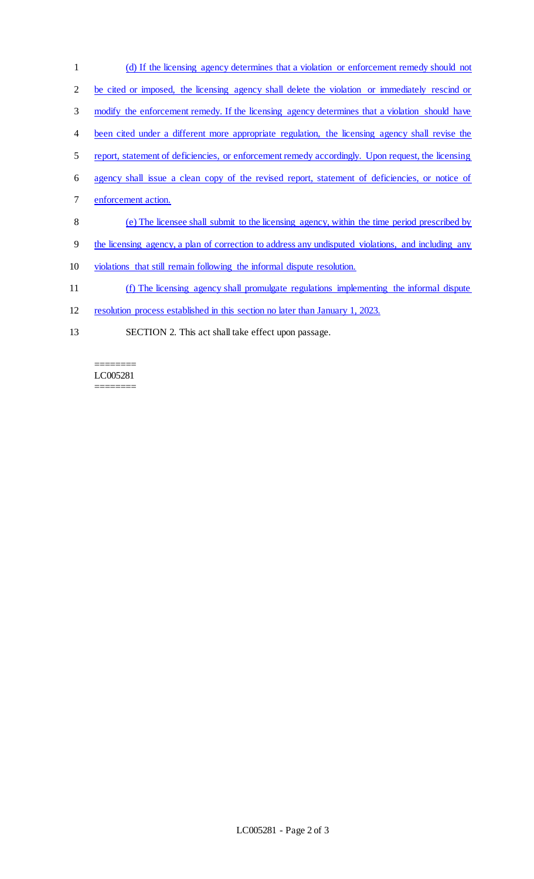- (d) If the licensing agency determines that a violation or enforcement remedy should not 2 be cited or imposed, the licensing agency shall delete the violation or immediately rescind or modify the enforcement remedy. If the licensing agency determines that a violation should have been cited under a different more appropriate regulation, the licensing agency shall revise the report, statement of deficiencies, or enforcement remedy accordingly. Upon request, the licensing agency shall issue a clean copy of the revised report, statement of deficiencies, or notice of enforcement action. (e) The licensee shall submit to the licensing agency, within the time period prescribed by
- the licensing agency, a plan of correction to address any undisputed violations, and including any
- violations that still remain following the informal dispute resolution.
- (f) The licensing agency shall promulgate regulations implementing the informal dispute
- resolution process established in this section no later than January 1, 2023.
- SECTION 2. This act shall take effect upon passage.

#### ======== LC005281 ========